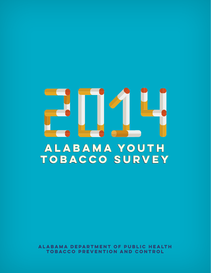# **alabama youth tobacco survey**

**Alabama Department of Public Health Tobacco Prevention and Control**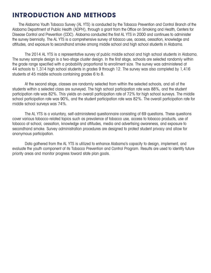### **INTRODUCTION AND METHODS**

The Alabama Youth Tobacco Survey (AL YTS) is conducted by the Tobacco Prevention and Control Branch of the Alabama Department of Public Health (ADPH), through a grant from the Office on Smoking and Health, Centers for Disease Control and Prevention (CDC). Alabama conducted the first AL YTS in 2000 and continues to administer the survey biennially. The AL YTS is a comprehensive survey of tobacco use, access, cessation, knowledge and attitudes, and exposure to secondhand smoke among middle school and high school students in Alabama.

The 2014 AL YTS is a representative survey of public middle school and high school students in Alabama. The survey sample design is a two-stage cluster design. In the first stage, schools are selected randomly within the grade range specified with a probability proportional to enrollment size. The survey was administered at 44 schools to 1,314 high school students in grades 9 through 12. The survey was also completed by 1,416 students at 45 middle schools containing grades 6 to 8.

At the second stage, classes are randomly selected from within the selected schools, and all of the students within a selected class are surveyed. The high school participation rate was 88%, and the student participation rate was 82%. This yields an overall participation rate of 72% for high school surveys. The middle school participation rate was 90%, and the student participation rate was 82%. The overall participation rate for middle school surveys was 74%.

The AL YTS is a voluntary, self-administered questionnaire consisting of 69 questions. These questions cover various tobacco-related topics such as prevalence of tobacco use, access to tobacco products, use of tobacco at school, cessation, knowledge and attitudes, media and advertising awareness, and exposure to secondhand smoke. Survey administration procedures are designed to protect student privacy and allow for anonymous participation.

Data gathered from the AL YTS is utilized to enhance Alabama's capacity to design, implement, and evaluate the youth component of its Tobacco Prevention and Control Program. Results are used to identify future priority areas and monitor progress toward state plan goals.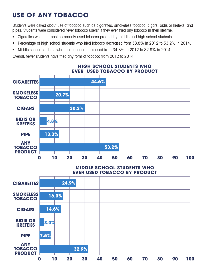# **Use of Any Tobacco**

Students were asked about use of tobacco such as cigarettes, smokeless tobacco, cigars, bidis or kreteks, and pipes. Students were considered "ever tobacco users" if they ever tried any tobacco in their lifetime.

- Cigarettes were the most commonly used tobacco product by middle and high school students.
- Percentage of high school students who tried tobacco decreased from 58.8% in 2012 to 53.2% in 2014.
- Middle school students who tried tobacco decreased from 34.8% in 2012 to 32.9% in 2014.

Overall, fewer students have tried any form of tobacco from 2012 to 2014.



#### **High School Students Who Ever Used Tobacco by Product**

#### **Middle School Students Who Ever Used Tobacco by Product**

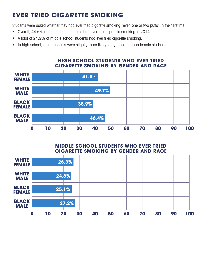# **Ever Tried Cigarette Smoking**

Students were asked whether they had ever tried cigarette smoking (even one or two puffs) in their lifetime.

- Overall, 44.6% of high school students had ever tried cigarette smoking in 2014.
- A total of 24.9% of middle school students had ever tried cigarette smoking.
- In high school, male students were slightly more likely to try smoking than female students.



### **High School Students Who Ever Tried Cigarette Smoking By Gender and Race**

#### **Middle School Students Who Ever Tried Cigarette Smoking By Gender and Race**

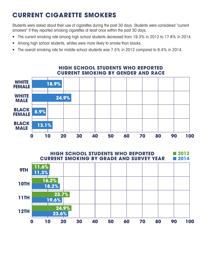# **Current Cigarette Smokers**

Students were asked about their use of cigarettes during the past 30 days. Students were considered "current" smokers" if they reported smoking cigarettes at least once within the past 30 days.

- The current smoking rate among high school students decreased from 19.3% in 2012 to 17.8% in 2014.
- Among high school students, whites were more likely to smoke than blacks.
- The overall smoking rate for middle school students was 7.5% in 2012 compared to 6.4% in 2014.



#### **High School Students Who Reported Current Smoking By Gender and Race**

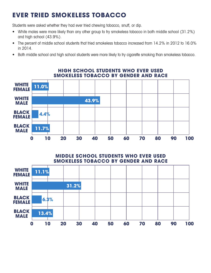# **Ever Tried Smokeless Tobacco**

Students were asked whether they had ever tried chewing tobacco, snuff, or dip.

- White males were more likely than any other group to try smokeless tobacco in both middle school (31.2%) and high school (43.9%).
- The percent of middle school students that tried smokeless tobacco increased from 14.2% in 2012 to 16.0% in 2014.
- Both middle school and high school students were more likely to try cigarette smoking than smokeless tobacco.



#### **High School Students Who Ever Used Smokeless Tobacco By Gender and Race**

**Middle School Students Who Ever Used Smokeless Tobacco By Gender and Race**

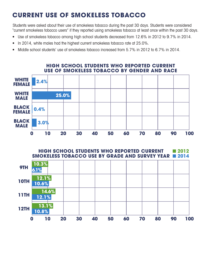# **Current Use of Smokeless Tobacco**

Students were asked about their use of smokeless tobacco during the past 30 days. Students were considered "current smokeless tobacco users" if they reported using smokeless tobacco at least once within the past 30 days.

- Use of smokeless tobacco among high school students decreased from 12.6% in 2012 to 9.7% in 2014.
- In 2014, white males had the highest current smokeless tobacco rate at 25.0%.
- Middle school students' use of smokeless tobacco increased from 5.7% in 2012 to 6.7% in 2014.

#### **High School Students Who Reported Current Use of Smokeless Tobacco By Gender and Race**



**High School Students Who Reported Current Smokeless Tobacco Use By Grade and Survey Year** ■ **2014** ■ **2012**

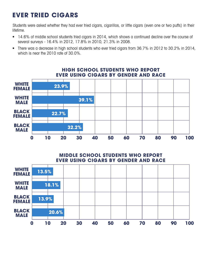### **Ever Tried Cigars**

Students were asked whether they had ever tried cigars, cigarillos, or little cigars (even one or two puffs) in their lifetime.

- 14.6% of middle school students tried cigars in 2014, which shows a continued decline over the course of several surveys - 16.4% in 2012, 17.8% in 2010, 21.3% in 2008.
- There was a decrease in high school students who ever tried cigars from 36.7% in 2012 to 30.2% in 2014, which is near the 2010 rate of 30.0%.



#### **High School Students Who Report Ever Using Cigars By Gender and Race**

**Middle School Students Who Report Ever Using Cigars By Gender and Race**

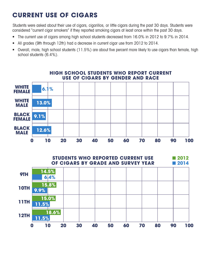# **Current Use of Cigars**

Students were asked about their use of cigars, cigarillos, or little cigars during the past 30 days. Students were considered "current cigar smokers" if they reported smoking cigars at least once within the past 30 days.

- The current use of cigars among high school students decreased from 16.0% in 2012 to 9.7% in 2014.
- All grades (9th through 12th) had a decrease in current cigar use from 2012 to 2014.
- Overall, male, high school students (11.5%) are about five percent more likely to use cigars than female, high school students (6.4%).



#### **High School Students Who Report Current Use of Cigars By Gender and Race**

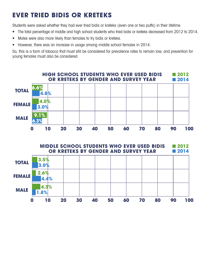# **Ever Tried Bidis or Kreteks**

Students were asked whether they had ever tried bidis or kreteks (even one or two puffs) in their lifetime.

- The total percentage of middle and high school students who tried bidis or kreteks decreased from 2012 to 2014.
- Males were also more likely than females to try bidis or kreteks.
- However, there was an increase in usage among middle school females in 2014.

So, this is a form of tobacco that must still be considered for prevalence rates to remain low, and prevention for young females must also be considered.



**Middle School Students Who Ever Used Bidis or Kreteks By Gender and Survey Year** ■ **2012** ■ **2014**

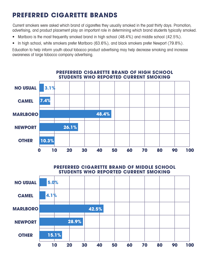### **Preferred Cigarette Brands**

Current smokers were asked which brand of cigarettes they usually smoked in the past thirty days. Promotion, advertising, and product placement play an important role in determining which brand students typically smoked.

- Marlboro is the most frequently smoked brand in high school (48.4%) and middle school (42.5%).
- In high school, white smokers prefer Marlboro (63.6%), and black smokers prefer Newport (79.8%).

Education to help inform youth about tobacco product advertising may help decrease smoking and increase awareness of large tobacco company advertising.



#### **Preferred Cigarette Brand of Middle School Students Who Reported Current Smoking**

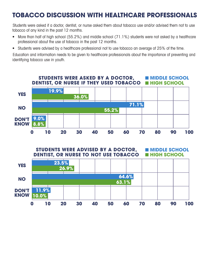### **Tobacco Discussion with Healthcare Professionals**

Students were asked if a doctor, dentist, or nurse asked them about tobacco use and/or advised them not to use tobacco of any kind in the past 12 months.

- More than half of high school (55.2%) and middle school (71.1%) students were not asked by a healthcare professional about the use of tobacco in the past 12 months.
- Students were advised by a healthcare professional not to use tobacco an average of 25% of the time.

Education and information needs to be given to healthcare professionals about the importance of preventing and identifying tobacco use in youth.



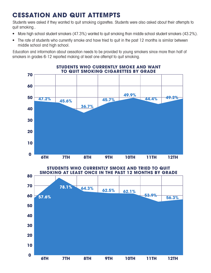### **Cessation and Quit Attempts**

Students were asked if they wanted to quit smoking cigarettes. Students were also asked about their attempts to quit smoking..

- More high school student smokers (47.3%) wanted to quit smoking than middle school student smokers (43.2%).
- The rate of students who currently smoke and have tried to quit in the past 12 months is similar between middle school and high school.

Education and information about cessation needs to be provided to young smokers since more than half of smokers in grades 6-12 reported making at least one attempt to quit smoking.



**64.3% 62.5% 62.1% 53.9% 56.3% 6th 7th 8th 9th 10th 11th 12th 80 70 60 50 40 30 20 10 0 Students Who Currently Smoke and Tried to Quit Smoking at Least Once in the Past 12 Months By Grade 57.6% 78.1%**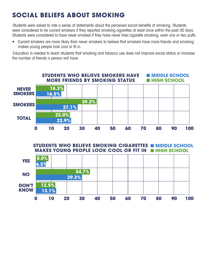### **Social Beliefs About Smoking**

Students were asked to rate a series of statements about the perceived social benefits of smoking. Students were considered to be current smokers if they reported smoking cigarettes at least once within the past 30 days. Students were considered to have never smoked if they have never tried cigarette smoking, even one or two puffs.

• Current smokers are more likely than never smokers to believe that smokers have more friends and smoking makes young people look cool or fit in.

Education is needed to teach students that smoking and tobacco use does not improve social status or increase the number of friends a person will have.



**STUDENTS WHO BELIEVE SMOKING CIGARETTES INIDDLE SCHOOL MAKES YOUNG PEOPLE LOOK COOL OR FIT IN INIGH SCHOOL** 

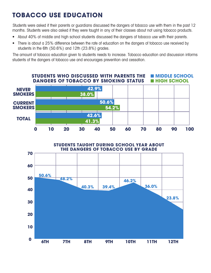# **Tobacco Use Education**

Students were asked if their parents or guardians discussed the dangers of tobacco use with them in the past 12 months. Students were also asked if they were taught in any of their classes about not using tobacco products.

- About 40% of middle and high school students discussed the dangers of tobacco use with their parents.
- There is about a 25% difference between the rate of education on the dangers of tobacco use received by students in the 6th (50.6%) and 12th (23.8%) grades.

The amount of tobacco education given to students needs to increase. Tobacco education and discussion informs students of the dangers of tobacco use and encourages prevention and cessation.



**Students Taught During School Year About the Dangers of Tobacco Use By Grade**

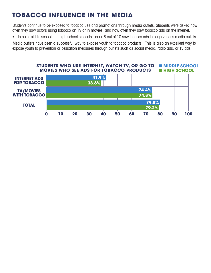### **Tobacco Influence in the Media**

Students continue to be exposed to tobacco use and promotions through media outlets. Students were asked how often they saw actors using tobacco on TV or in movies, and how often they saw tobacco ads on the Internet.

• In both middle school and high school students, about 8 out of 10 saw tobacco ads through various media outlets.

Media outlets have been a successful way to expose youth to tobacco products. This is also an excellent way to expose youth to prevention or cessation measures through outlets such as social media, radio ads, or TV ads.

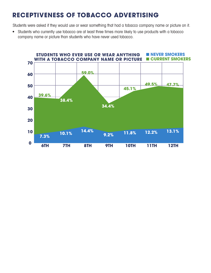### **Receptiveness of Tobacco Advertising**

Students were asked if they would use or wear something that had a tobacco company name or picture on it.

• Students who currently use tobacco are at least three times more likely to use products with a tobacco company name or picture than students who have never used tobacco.

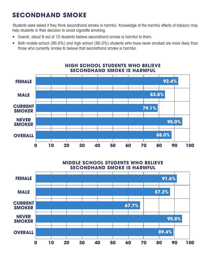### **Secondhand Smoke**

Students were asked if they think secondhand smoke is harmful. Knowledge of the harmful effects of tobacco may help students in their decision to avoid cigarette smoking.

- Overall, about 9 out of 10 students believe secondhand smoke is harmful to them.
- Both middle school (95.0%) and high school (95.0%) students who have never smoked are more likely than those who currently smoke to believe that secondhand smoke is harmful.



# **High School Students Who Believe**

**Middle School Students Who Believe Secondhand Smoke Is Harmful** 

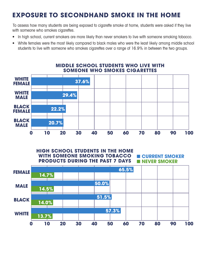### **Exposure to Secondhand Smoke in the Home**

To assess how many students are being exposed to cigarette smoke at home, students were asked if they live with someone who smokes cigarettes.

- In high school, current smokers are more likely than never smokers to live with someone smoking tobacco.
- White females were the most likely compared to black males who were the least likely among middle school students to live with someone who smokes cigarettes over a range of 16.9% in between the two groups.



#### **Middle School Students Who Live with Someone Who Smokes Cigarettes**

#### ■ **current smoker** ■ **never smoker High School Students in the Home with Someone Smoking Tobacco Products During the Past 7 Days**

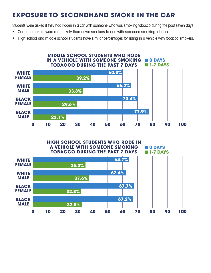### **Exposure to Secondhand Smoke in the Car**

Students were asked if they had ridden in a car with someone who was smoking tobacco during the past seven days.

- Current smokers were more likely than never smokers to ride with someone smoking tobacco.
- High school and middle school students have similar percentages for riding in a vehicle with tobacco smokers.



#### **High School Students Who Rode in a Vehicle With Someone Smoking Tobacco During the Past 7 Days** ■ **0 days** ■ **1-7 days**

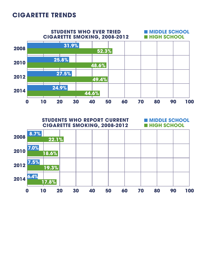### **Cigarette Trends**



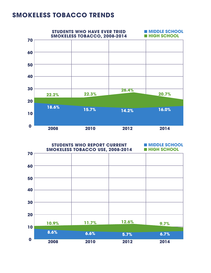### **Smokeless Tobacco Trends**



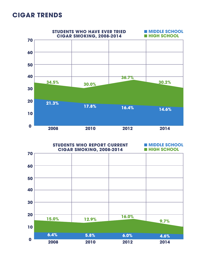### **cigar trends**



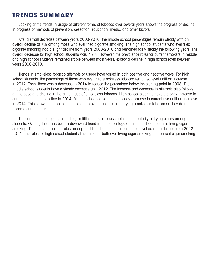### **Trends Summary**

Looking at the trends in usage of different forms of tobacco over several years shows the progress or decline in progress of methods of prevention, cessation, education, media, and other factors.

After a small decrease between years 2008-2010, the middle school percentages remain steady with an overall decline of 7% among those who ever tried cigarette smoking. The high school students who ever tried cigarette smoking had a slight decline from years 2008-2010 and remained fairly steady the following years. The overall decrease for high school students was 7.7%. However, the prevalence rates for current smokers in middle and high school students remained stable between most years, except a decline in high school rates between years 2008-2010.

Trends in smokeless tobacco attempts or usage have varied in both positive and negative ways. For high school students, the percentage of those who ever tried smokeless tobacco remained level until an increase in 2012. Then, there was a decrease in 2014 to reduce the percentage below the starting point in 2008. The middle school students have a steady decrease until 2012. The increase and decrease in attempts also follows an increase and decline in the current use of smokeless tobacco. High school students have a steady increase in current use until the decline in 2014. Middle schools also have a steady decrease in current use until an increase in 2014. This shows the need to educate and prevent students from trying smokeless tobacco so they do not become current users.

The current use of cigars, cigarillos, or little cigars also resembles the popularity of trying cigars among students. Overall, there has been a downward trend in the percentage of middle school students trying cigar smoking. The current smoking rates among middle school students remained level except a decline from 2012- 2014. The rates for high school students fluctuated for both ever trying cigar smoking and current cigar smoking.